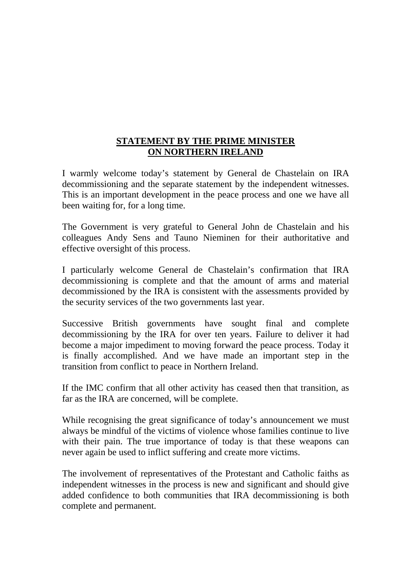## **STATEMENT BY THE PRIME MINISTER ON NORTHERN IRELAND**

I warmly welcome today's statement by General de Chastelain on IRA decommissioning and the separate statement by the independent witnesses. This is an important development in the peace process and one we have all been waiting for, for a long time.

The Government is very grateful to General John de Chastelain and his colleagues Andy Sens and Tauno Nieminen for their authoritative and effective oversight of this process.

I particularly welcome General de Chastelain's confirmation that IRA decommissioning is complete and that the amount of arms and material decommissioned by the IRA is consistent with the assessments provided by the security services of the two governments last year.

Successive British governments have sought final and complete decommissioning by the IRA for over ten years. Failure to deliver it had become a major impediment to moving forward the peace process. Today it is finally accomplished. And we have made an important step in the transition from conflict to peace in Northern Ireland.

If the IMC confirm that all other activity has ceased then that transition, as far as the IRA are concerned, will be complete.

While recognising the great significance of today's announcement we must always be mindful of the victims of violence whose families continue to live with their pain. The true importance of today is that these weapons can never again be used to inflict suffering and create more victims.

The involvement of representatives of the Protestant and Catholic faiths as independent witnesses in the process is new and significant and should give added confidence to both communities that IRA decommissioning is both complete and permanent.